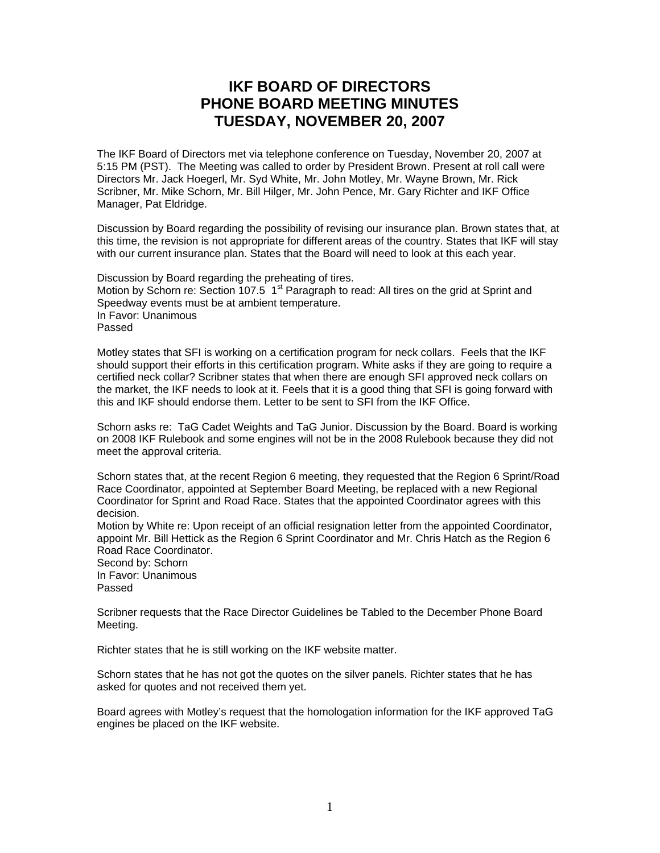## **IKF BOARD OF DIRECTORS PHONE BOARD MEETING MINUTES TUESDAY, NOVEMBER 20, 2007**

The IKF Board of Directors met via telephone conference on Tuesday, November 20, 2007 at 5:15 PM (PST). The Meeting was called to order by President Brown. Present at roll call were Directors Mr. Jack Hoegerl, Mr. Syd White, Mr. John Motley, Mr. Wayne Brown, Mr. Rick Scribner, Mr. Mike Schorn, Mr. Bill Hilger, Mr. John Pence, Mr. Gary Richter and IKF Office Manager, Pat Eldridge.

Discussion by Board regarding the possibility of revising our insurance plan. Brown states that, at this time, the revision is not appropriate for different areas of the country. States that IKF will stay with our current insurance plan. States that the Board will need to look at this each year.

Discussion by Board regarding the preheating of tires. Motion by Schorn re: Section 107.5  $1<sup>st</sup>$  Paragraph to read: All tires on the grid at Sprint and Speedway events must be at ambient temperature. In Favor: Unanimous Passed

Motley states that SFI is working on a certification program for neck collars. Feels that the IKF should support their efforts in this certification program. White asks if they are going to require a certified neck collar? Scribner states that when there are enough SFI approved neck collars on the market, the IKF needs to look at it. Feels that it is a good thing that SFI is going forward with this and IKF should endorse them. Letter to be sent to SFI from the IKF Office.

Schorn asks re: TaG Cadet Weights and TaG Junior. Discussion by the Board. Board is working on 2008 IKF Rulebook and some engines will not be in the 2008 Rulebook because they did not meet the approval criteria.

Schorn states that, at the recent Region 6 meeting, they requested that the Region 6 Sprint/Road Race Coordinator, appointed at September Board Meeting, be replaced with a new Regional Coordinator for Sprint and Road Race. States that the appointed Coordinator agrees with this decision.

Motion by White re: Upon receipt of an official resignation letter from the appointed Coordinator, appoint Mr. Bill Hettick as the Region 6 Sprint Coordinator and Mr. Chris Hatch as the Region 6 Road Race Coordinator.

Second by: Schorn

In Favor: Unanimous Passed

Scribner requests that the Race Director Guidelines be Tabled to the December Phone Board Meeting.

Richter states that he is still working on the IKF website matter.

Schorn states that he has not got the quotes on the silver panels. Richter states that he has asked for quotes and not received them yet.

Board agrees with Motley's request that the homologation information for the IKF approved TaG engines be placed on the IKF website.